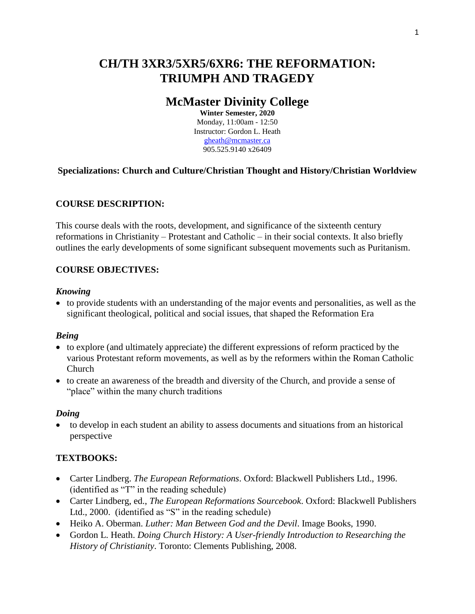# **CH/TH 3XR3/5XR5/6XR6: THE REFORMATION: TRIUMPH AND TRAGEDY**

## **McMaster Divinity College**

**Winter Semester, 2020** Monday, 11:00am - 12:50 Instructor: Gordon L. Heath [gheath@mcmaster.ca](mailto:gheath@mcmaster.ca) 905.525.9140 x26409

## **Specializations: Church and Culture/Christian Thought and History/Christian Worldview**

## **COURSE DESCRIPTION:**

This course deals with the roots, development, and significance of the sixteenth century reformations in Christianity – Protestant and Catholic – in their social contexts. It also briefly outlines the early developments of some significant subsequent movements such as Puritanism.

## **COURSE OBJECTIVES:**

#### *Knowing*

 to provide students with an understanding of the major events and personalities, as well as the significant theological, political and social issues, that shaped the Reformation Era

#### *Being*

- to explore (and ultimately appreciate) the different expressions of reform practiced by the various Protestant reform movements, as well as by the reformers within the Roman Catholic Church
- to create an awareness of the breadth and diversity of the Church, and provide a sense of "place" within the many church traditions

#### *Doing*

 to develop in each student an ability to assess documents and situations from an historical perspective

#### **TEXTBOOKS:**

- Carter Lindberg. *The European Reformations*. Oxford: Blackwell Publishers Ltd., 1996. (identified as "T" in the reading schedule)
- Carter Lindberg, ed., *The European Reformations Sourcebook*. Oxford: Blackwell Publishers Ltd., 2000. (identified as "S" in the reading schedule)
- Heiko A. Oberman. *Luther: Man Between God and the Devil*. Image Books, 1990.
- Gordon L. Heath. *Doing Church History: A User-friendly Introduction to Researching the History of Christianity*. Toronto: Clements Publishing, 2008.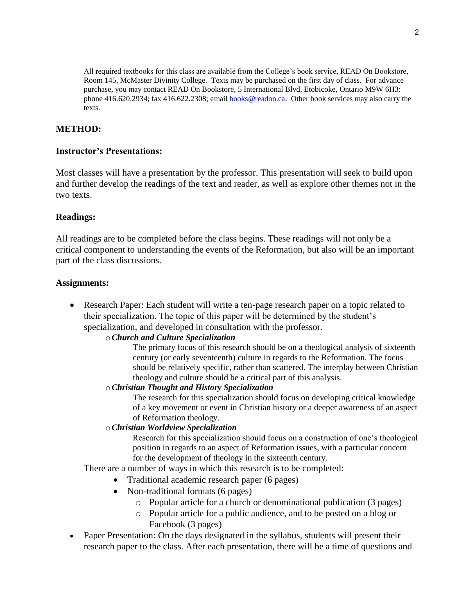All required textbooks for this class are available from the College's book service, READ On Bookstore, Room 145, McMaster Divinity College. Texts may be purchased on the first day of class. For advance purchase, you may contact READ On Bookstore, 5 International Blvd, Etobicoke, Ontario M9W 6H3: phone 416.620.2934; fax 416.622.2308; email **books@readon.ca**. Other book services may also carry the texts.

## **METHOD:**

#### **Instructor's Presentations:**

Most classes will have a presentation by the professor. This presentation will seek to build upon and further develop the readings of the text and reader, as well as explore other themes not in the two texts.

#### **Readings:**

All readings are to be completed before the class begins. These readings will not only be a critical component to understanding the events of the Reformation, but also will be an important part of the class discussions.

#### **Assignments:**

• Research Paper: Each student will write a ten-page research paper on a topic related to their specialization. The topic of this paper will be determined by the student's specialization, and developed in consultation with the professor.

#### o*Church and Culture Specialization*

The primary focus of this research should be on a theological analysis of sixteenth century (or early seventeenth) culture in regards to the Reformation. The focus should be relatively specific, rather than scattered. The interplay between Christian theology and culture should be a critical part of this analysis.

#### o*Christian Thought and History Specialization*

The research for this specialization should focus on developing critical knowledge of a key movement or event in Christian history or a deeper awareness of an aspect of Reformation theology.

#### o*Christian Worldview Specialization*

Research for this specialization should focus on a construction of one's theological position in regards to an aspect of Reformation issues, with a particular concern for the development of theology in the sixteenth century.

There are a number of ways in which this research is to be completed:

- Traditional academic research paper (6 pages)
- Non-traditional formats (6 pages)
	- o Popular article for a church or denominational publication (3 pages)
	- o Popular article for a public audience, and to be posted on a blog or Facebook (3 pages)
- Paper Presentation: On the days designated in the syllabus, students will present their research paper to the class. After each presentation, there will be a time of questions and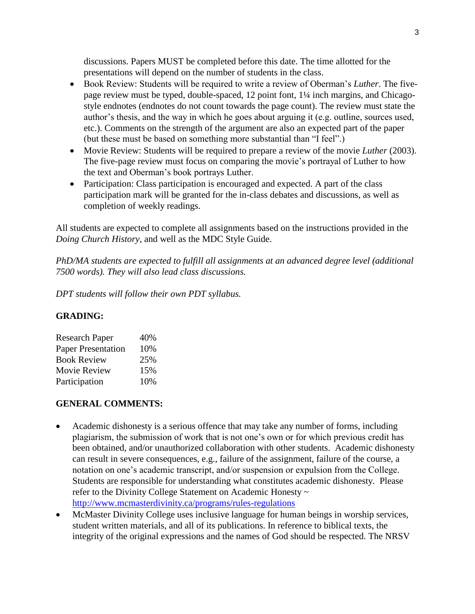discussions. Papers MUST be completed before this date. The time allotted for the presentations will depend on the number of students in the class.

- Book Review: Students will be required to write a review of Oberman's *Luther*. The fivepage review must be typed, double-spaced, 12 point font, 1¼ inch margins, and Chicagostyle endnotes (endnotes do not count towards the page count). The review must state the author's thesis, and the way in which he goes about arguing it (e.g. outline, sources used, etc.). Comments on the strength of the argument are also an expected part of the paper (but these must be based on something more substantial than "I feel".)
- Movie Review: Students will be required to prepare a review of the movie *Luther* (2003). The five-page review must focus on comparing the movie's portrayal of Luther to how the text and Oberman's book portrays Luther.
- Participation: Class participation is encouraged and expected. A part of the class participation mark will be granted for the in-class debates and discussions, as well as completion of weekly readings.

All students are expected to complete all assignments based on the instructions provided in the *Doing Church History*, and well as the MDC Style Guide.

*PhD/MA students are expected to fulfill all assignments at an advanced degree level (additional 7500 words). They will also lead class discussions.*

*DPT students will follow their own PDT syllabus.*

## **GRADING:**

| <b>Research Paper</b>     | 40% |
|---------------------------|-----|
| <b>Paper Presentation</b> | 10% |
| <b>Book Review</b>        | 25% |
| Movie Review              | 15% |
| Participation             | 10% |

## **GENERAL COMMENTS:**

- Academic dishonesty is a serious offence that may take any number of forms, including plagiarism, the submission of work that is not one's own or for which previous credit has been obtained, and/or unauthorized collaboration with other students. Academic dishonesty can result in severe consequences, e.g., failure of the assignment, failure of the course, a notation on one's academic transcript, and/or suspension or expulsion from the College. Students are responsible for understanding what constitutes academic dishonesty. Please refer to the Divinity College Statement on Academic Honesty ~ <http://www.mcmasterdivinity.ca/programs/rules-regulations>
- McMaster Divinity College uses inclusive language for human beings in worship services, student written materials, and all of its publications. In reference to biblical texts, the integrity of the original expressions and the names of God should be respected. The NRSV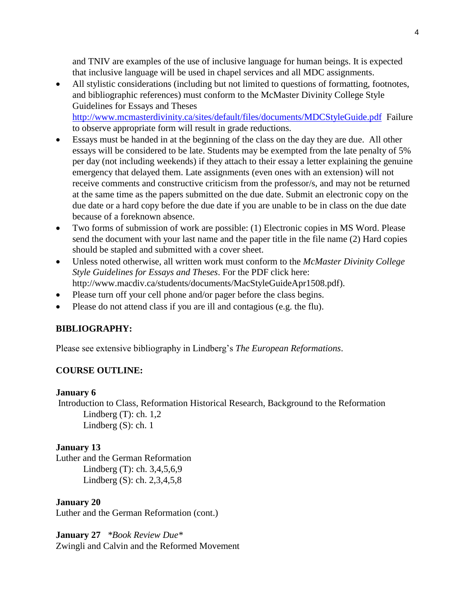and TNIV are examples of the use of inclusive language for human beings. It is expected that inclusive language will be used in chapel services and all MDC assignments.

 All stylistic considerations (including but not limited to questions of formatting, footnotes, and bibliographic references) must conform to the McMaster Divinity College Style Guidelines for Essays and Theses <http://www.mcmasterdivinity.ca/sites/default/files/documents/MDCStyleGuide.pdf> Failure

to observe appropriate form will result in grade reductions.

- Essays must be handed in at the beginning of the class on the day they are due. All other essays will be considered to be late. Students may be exempted from the late penalty of 5% per day (not including weekends) if they attach to their essay a letter explaining the genuine emergency that delayed them. Late assignments (even ones with an extension) will not receive comments and constructive criticism from the professor/s, and may not be returned at the same time as the papers submitted on the due date. Submit an electronic copy on the due date or a hard copy before the due date if you are unable to be in class on the due date because of a foreknown absence.
- Two forms of submission of work are possible: (1) Electronic copies in MS Word. Please send the document with your last name and the paper title in the file name (2) Hard copies should be stapled and submitted with a cover sheet.
- Unless noted otherwise, all written work must conform to the *McMaster Divinity College Style Guidelines for Essays and Theses*. For the PDF click here: [http://www.macdiv.ca/students/documents/MacStyleGuideApr1508.pdf\)](http://www.macdiv.ca/students/documents/MacStyleGuideApr1508.pdf).
- Please turn off your cell phone and/or pager before the class begins.
- Please do not attend class if you are ill and contagious (e.g. the flu).

## **BIBLIOGRAPHY:**

Please see extensive bibliography in Lindberg's *The European Reformations*.

#### **COURSE OUTLINE:**

#### **January 6**

Introduction to Class, Reformation Historical Research, Background to the Reformation Lindberg  $(T)$ : ch. 1,2 Lindberg (S): ch. 1

#### **January 13**

Luther and the German Reformation Lindberg (T): ch. 3,4,5,6,9 Lindberg (S): ch. 2,3,4,5,8

#### **January 20**

Luther and the German Reformation (cont.)

#### **January 27** *\*Book Review Due\**

Zwingli and Calvin and the Reformed Movement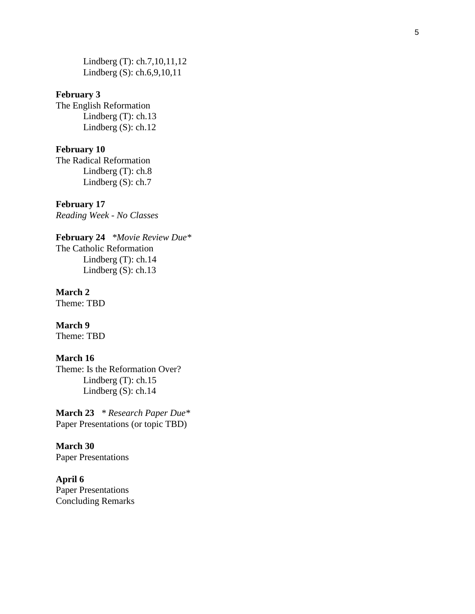Lindberg (T): ch.7,10,11,12 Lindberg (S): ch.6,9,10,11

#### **February 3**

The English Reformation Lindberg (T): ch.13 Lindberg (S): ch.12

#### **February 1 0**

The Radical Reformation Lindberg (T): ch.8 Lindberg (S): ch.7

**February 17** *Reading Week - No Classes*

**February 2 4** *\*Movie Review Due\** The Catholic Reformation Lindberg (T): ch.14 Lindberg (S): ch.13

#### **March 2**

Theme: TBD

**March 9** Theme: TBD

#### **March 16**

Theme: Is the Reformation Over? Lindberg (T): ch.15 Lindberg (S): ch.14

**March 23** *\* Research Paper Due\** Paper Presentations (or topic TBD)

**March 30** Paper Presentations

**April 6** Paper Presentations Concluding Remarks